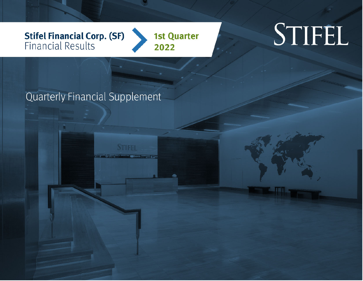**Stifel Financial Corp. (SF)**<br>Financial Results

**1st Quarter** 2022

# STIFEL

Quarterly Financial Supplement

**STIFFI** 

**SELL** US BANARY STORES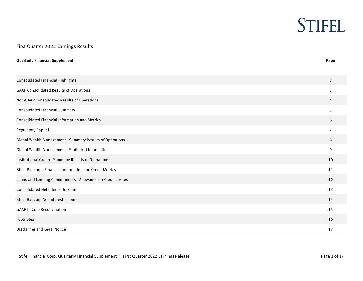### First Quarter 2022 Earnings Results **Quarterly Financial Supplement Page**  Consolidated Financial Highlights 2 GAAP Consolidated Results of Operations 3 Non-GAAP Consolidated Results of Operations 4 Consolidated Financial Summary 5 Consolidated Financial Information and Metrics 6 Regulatory Capital 7 Global Wealth Management - Summary Results of Operations 8 Global Wealth Management - Statistical Information 9 Institutional Group - Summary Results of Operations 10 Stifel Bancorp - Financial Information and Credit Metrics 11 And 1998 12 and 2008 12 and 2008 12 and 2008 12 and 2008 12 and 2008 12 and 2008 12 and 2008 12 and 2008 12 and 2008 12 and 2008 12 and 2008 12 and 2008 12 and 2 Loans and Lending Commitments - Allowance for Credit Losses 12 Consolidated Net Interest Income 13 Stifel Bancorp Net Interest Income 14 GAAP to Core Reconciliation 15 Footnotes 16 Disclaimer and Legal Notice 17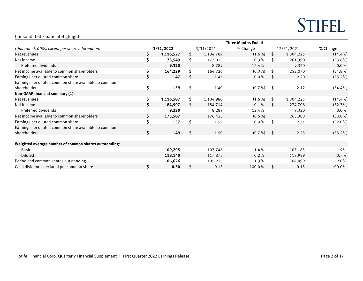### Consolidated Financial Highlights

| Consolidated Financial Highlights                                     |    |           |    |           |                           |              |           |            |  |
|-----------------------------------------------------------------------|----|-----------|----|-----------|---------------------------|--------------|-----------|------------|--|
|                                                                       |    |           |    |           | <b>Three Months Ended</b> |              |           |            |  |
| (Unaudited, 000s, except per share information)                       |    | 3/31/2022 |    | 3/31/2021 | % Change                  | 12/31/2021   |           | % Change   |  |
| Net revenues                                                          |    | 1,116,527 | \$ | 1,134,789 | $(1.6\%)$                 | \$           | 1,304,225 | $(14.4\%)$ |  |
| Net income                                                            | S. | 173,549   | \$ | 173,015   | 0.3%                      | S            | 261,390   | (33.6%)    |  |
| Preferred dividends                                                   |    | 9,320     |    | 8,289     | 12.4%                     |              | 9,320     | 0.0%       |  |
| Net income available to common shareholders                           | \$ | 164,229   | \$ | 164,726   | $(0.3\%)$                 | \$           | 252,070   | $(34.8\%)$ |  |
| Earnings per diluted common share                                     | Ś. | 1.47      | \$ | 1.47      | $0.0\%$                   | S.           | 2.20      | $(33.2\%)$ |  |
| Earnings per diluted common share available to common<br>shareholders | \$ | 1.39      | \$ | 1.40      | $(0.7\%)$                 | - \$         | 2.12      | $(34.4\%)$ |  |
| Non-GAAP financial summary (1):                                       |    |           |    |           |                           |              |           |            |  |
| Net revenues                                                          | \$ | 1,116,587 | \$ | 1,134,980 | $(1.6\%)$                 | \$           | 1,304,225 | $(14.4\%)$ |  |
| Net income                                                            |    | 184,907   | S  | 184,714   | 0.1%                      |              | 274,708   | (32.7%)    |  |
| Preferred dividends                                                   |    | 9,320     |    | 8,289     | 12.4%                     |              | 9,320     | $0.0\%$    |  |
| Net income available to common shareholders                           | S. | 175,587   |    | 176,425   | $(0.5\%)$                 |              | 265,388   | $(33.8\%)$ |  |
| Earnings per diluted common share                                     | Ś. | 1.57      | \$ | 1.57      | $0.0\%$                   | \$           | 2.31      | $(32.0\%)$ |  |
| Earnings per diluted common share available to common<br>shareholders | Ś. | 1.49      | \$ | 1.50      | $(0.7\%)$                 | $\mathsf{s}$ | 2.23      | $(33.2\%)$ |  |
| Weighted average number of common shares outstanding:                 |    |           |    |           |                           |              |           |            |  |
| Basic                                                                 |    | 109,205   |    | 107,746   | 1.4%                      |              | 107,185   | 1.9%       |  |
| Diluted                                                               |    | 118,140   |    | 117,875   | 0.2%                      |              | 118,959   | $(0.7\%)$  |  |
| Period end common shares outstanding                                  |    | 106,626   |    | 105,215   | 1.3%                      |              | 104,499   | 2.0%       |  |
| Cash dividends declared per common share                              | S. | 0.30      | \$ | 0.15      | 100.0%                    | \$           | 0.15      | 100.0%     |  |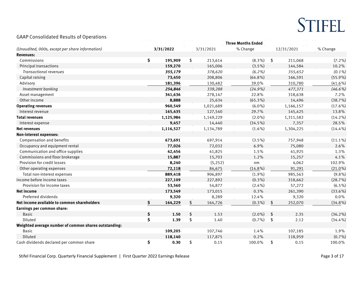

### GAAP Consolidated Results of Operations

| (Unaudited, 000s, except per share information)       |    | 3/31/2022 | 3/31/2021     | % Change   |                     | 12/31/2021 | % Change   |
|-------------------------------------------------------|----|-----------|---------------|------------|---------------------|------------|------------|
| <b>Revenues:</b>                                      |    |           |               |            |                     |            |            |
| Commissions                                           | \$ | 195,909   | \$<br>213,614 | $(8.3\%)$  | \$                  | 211,068    | $(7.2\%)$  |
| Principal transactions                                |    | 159,270   | 165,006       | $(3.5\%)$  |                     | 144,584    | 10.2%      |
| <b>Transactional revenues</b>                         |    | 355,179   | 378,620       | $(6.2\%)$  |                     | 355,652    | $(0.1\%)$  |
| Capital raising                                       |    | 73,450    | 208,806       | $(64.8\%)$ |                     | 166,591    | $(55.9\%)$ |
| Advisory                                              |    | 181,396   | 130,482       | 39.0%      |                     | 310,780    | $(41.6\%)$ |
| Investment banking                                    |    | 254,846   | 339,288       | $(24.9\%)$ |                     | 477,371    | $(46.6\%)$ |
| Asset management                                      |    | 341,636   | 278,147       | 22.8%      |                     | 318,638    | 7.2%       |
| Other income                                          |    | 8,888     | 25,634        | $(65.3\%)$ |                     | 14,496     | (38.7%)    |
| <b>Operating revenues</b>                             |    | 960,549   | 1,021,689     | $(6.0\%)$  |                     | 1,166,157  | $(17.6\%)$ |
| Interest revenue                                      |    | 165,435   | 127,540       | 29.7%      |                     | 145,425    | 13.8%      |
| <b>Total revenues</b>                                 |    | 1,125,984 | 1,149,229     | $(2.0\%)$  |                     | 1,311,582  | $(14.2\%)$ |
| Interest expense                                      |    | 9,457     | 14,440        | $(34.5\%)$ |                     | 7,357      | 28.5%      |
| <b>Net revenues</b>                                   |    | 1,116,527 | 1,134,789     | $(1.6\%)$  |                     | 1,304,225  | $(14.4\%)$ |
| <b>Non-interest expenses:</b>                         |    |           |               |            |                     |            |            |
| Compensation and benefits                             |    | 673,691   | 697,914       | $(3.5\%)$  |                     | 757,948    | $(11.1\%)$ |
| Occupancy and equipment rental                        |    | 77,026    | 72,032        | 6.9%       |                     | 75,080     | 2.6%       |
| Communication and office supplies                     |    | 42,456    | 41,825        | 1.5%       |                     | 41,925     | 1.3%       |
| Commissions and floor brokerage                       |    | 15,887    | 15,703        | 1.2%       |                     | 15,257     | 4.1%       |
| Provision for credit losses                           |    | 8,240     | (5, 252)      | nm         |                     | 4,062      | 102.9%     |
| Other operating expenses                              |    | 72,118    | 84,675        | $(14.8\%)$ |                     | 91,291     | $(21.0\%)$ |
| Total non-interest expenses                           |    | 889,418   | 906,897       | $(1.9\%)$  |                     | 985,563    | (9.8%      |
| Income before income taxes                            |    | 227,109   | 227,892       | $(0.3\%)$  |                     | 318,662    | (28.7%)    |
| Provision for income taxes                            |    | 53,560    | 54,877        | $(2.4\%)$  |                     | 57,272     | $(6.5\%)$  |
| <b>Net income</b>                                     |    | 173,549   | 173,015       | 0.3%       |                     | 261,390    | $(33.6\%)$ |
| Preferred dividends                                   |    | 9,320     | 8,289         | 12.4%      |                     | 9,320      | 0.0%       |
| Net income available to common shareholders           | \$ | 164,229   | \$<br>164,726 | $(0.3\%)$  | \$                  | 252,070    | $(34.8\%)$ |
| Earnings per common share:                            |    |           |               |            |                     |            |            |
| <b>Basic</b>                                          | \$ | 1.50      | \$<br>1.53    | $(2.0\%)$  | \$                  | 2.35       | $(36.2\%)$ |
| Diluted                                               | \$ | 1.39      | \$<br>1.40    | $(0.7\%)$  | $\pmb{\mathsf{\$}}$ | 2.12       | $(34.4\%)$ |
| Weighted average number of common shares outstanding: |    |           |               |            |                     |            |            |
| <b>Basic</b>                                          |    | 109,205   | 107,746       | 1.4%       |                     | 107,185    | 1.9%       |
| Diluted                                               |    | 118,140   | 117,875       | 0.2%       |                     | 118,959    | $(0.7\%)$  |
| Cash dividends declared per common share              | \$ | 0.30      | \$<br>0.15    | 100.0%     | \$                  | 0.15       | 100.0%     |

Stifel Financial Corp. Quarterly Financial Supplement | First Quarter 2022 Earnings Release **Page 3 of 17** and the struck of the struck of 17 and the struck of 17 and the struck of 17 and the struck of 17 and the struck of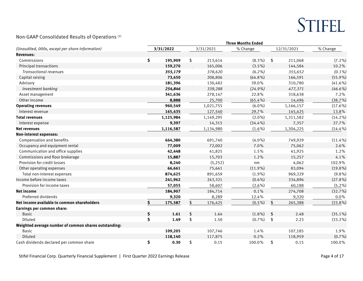

### Non-GAAP Consolidated Results of Operations (1)

| NUITUAAT CUIISUNGALEG KESULIS UI OPEIANUIIS (*)       |               |               | <b>Three Months Ended</b> |            |            |            |
|-------------------------------------------------------|---------------|---------------|---------------------------|------------|------------|------------|
| (Unaudited, 000s, except per share information)       | 3/31/2022     | 3/31/2021     | % Change                  |            | 12/31/2021 | % Change   |
| <b>Revenues:</b>                                      |               |               |                           |            |            |            |
| Commissions                                           | \$<br>195,909 | \$<br>213,614 | $(8.3\%)$                 | \$         | 211,068    | $(7.2\%)$  |
| Principal transactions                                | 159,270       | 165,006       | $(3.5\%)$                 |            | 144,584    | 10.2%      |
| <b>Transactional revenues</b>                         | 355,179       | 378,620       | $(6.2\%)$                 |            | 355,652    | $(0.1\%)$  |
| Capital raising                                       | 73,450        | 208,806       | $(64.8\%)$                |            | 166,591    | $(55.9\%)$ |
| Advisory                                              | 181,396       | 130,482       | 39.0%                     |            | 310,780    | $(41.6\%)$ |
| Investment banking                                    | 254,846       | 339,288       | $(24.9\%)$                |            | 477,371    | $(46.6\%)$ |
| Asset management                                      | 341,636       | 278,147       | 22.8%                     |            | 318,638    | 7.2%       |
| Other income                                          | 8,888         | 25,700        | $(65.4\%)$                |            | 14,496     | (38.7%)    |
| <b>Operating revenues</b>                             | 960,549       | 1,021,755     | $(6.0\%)$                 |            | 1,166,157  | $(17.6\%)$ |
| Interest revenue                                      | 165,435       | 127,540       | 29.7%                     |            | 145,425    | 13.8%      |
| <b>Total revenues</b>                                 | 1,125,984     | 1,149,295     | $(2.0\%)$                 |            | 1,311,582  | $(14.2\%)$ |
| Interest expense                                      | 9,397         | 14,315        | $(34.4\%)$                |            | 7,357      | 27.7%      |
| <b>Net revenues</b>                                   | 1,116,587     | 1,134,980     | $(1.6\%)$                 |            | 1,304,225  | $(14.4\%)$ |
| <b>Non-interest expenses:</b>                         |               |               |                           |            |            |            |
| Compensation and benefits                             | 664,380       | 691,740       | $(4.0\%)$                 |            | 749,929    | $(11.4\%)$ |
| Occupancy and equipment rental                        | 77,009        | 72,002        | 7.0%                      |            | 75,062     | 2.6%       |
| Communication and office supplies                     | 42,448        | 41,825        | 1.5%                      |            | 41,925     | 1.2%       |
| Commissions and floor brokerage                       | 15,887        | 15,703        | 1.2%                      |            | 15,257     | 4.1%       |
| Provision for credit losses                           | 8,240         | (5, 252)      | nm                        |            | 4,062      | 102.9%     |
| Other operating expenses                              | 66,661        | 75,641        | $(11.9\%)$                |            | 83,094     | $(19.8\%)$ |
| Total non-interest expenses                           | 874,625       | 891,659       | $(1.9\%)$                 |            | 969,329    | $(9.8\%)$  |
| Income before income taxes                            | 241,962       | 243,321       | $(0.6\%)$                 |            | 334,896    | $(27.8\%)$ |
| Provision for income taxes                            | 57,055        | 58,607        | $(2.6\%)$                 |            | 60,188     | $(5.2\%)$  |
| <b>Net income</b>                                     | 184,907       | 184,714       | 0.1%                      |            | 274,708    | (32.7%)    |
| Preferred dividends                                   | 9,320         | 8,289         | 12.4%                     |            | 9,320      | 0.0%       |
| Net income available to common shareholders           | \$<br>175,587 | \$<br>176,425 | $(0.5\%)$                 | \$         | 265,388    | $(33.8\%)$ |
| Earnings per common share:                            |               |               |                           |            |            |            |
| <b>Basic</b>                                          | \$<br>1.61    | \$<br>1.64    | $(1.8\%)$                 | \$         | 2.48       | $(35.1\%)$ |
| Diluted                                               | \$<br>1.49    | \$<br>1.50    | $(0.7\%)$                 | $\sqrt{2}$ | 2.23       | $(33.2\%)$ |
| Weighted average number of common shares outstanding: |               |               |                           |            |            |            |
| Basic                                                 | 109,205       | 107,746       | 1.4%                      |            | 107,185    | 1.9%       |
| Diluted                                               | 118,140       | 117,875       | 0.2%                      |            | 118,959    | $(0.7\%)$  |
| Cash dividends declared per common share              | \$<br>0.30    | \$<br>0.15    | 100.0%                    | \$         | 0.15       | 100.0%     |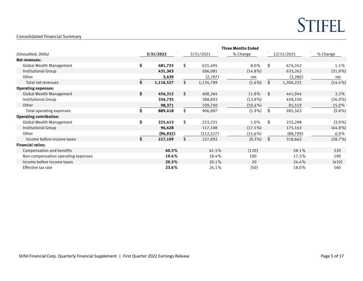$\mathcal{L}_{\text{max}}$  and  $\mathcal{L}_{\text{max}}$ 

### Consolidated Financial Summary

|                                     |    | <b>Three Months Ended</b> |    |            |            |            |           |            |  |  |  |
|-------------------------------------|----|---------------------------|----|------------|------------|------------|-----------|------------|--|--|--|
| (Unaudited, 000s)                   |    | 3/31/2022                 |    | 3/31/2021  | % Change   | 12/31/2021 |           | % Change   |  |  |  |
| <b>Net revenues:</b>                |    |                           |    |            |            |            |           |            |  |  |  |
| <b>Global Wealth Management</b>     | \$ | 681,725                   | \$ | 631,495    | 8.0%       | \$         | 674,242   | 1.1%       |  |  |  |
| Institutional Group                 |    | 431,363                   |    | 506,081    | $(14.8\%)$ |            | 633,263   | $(31.9\%)$ |  |  |  |
| Other                               |    | 3,439                     |    | (2,787)    | nm         |            | (3, 280)  | nm         |  |  |  |
| Total net revenues                  | \$ | 1,116,527                 | \$ | 1,134,789  | $(1.6\%)$  | \$         | 1,304,225 | $(14.4\%)$ |  |  |  |
| <b>Operating expenses:</b>          |    |                           |    |            |            |            |           |            |  |  |  |
| <b>Global Wealth Management</b>     | \$ | 456,312                   | \$ | 408,264    | 11.8%      | \$         | 441,944   | 3.3%       |  |  |  |
| Institutional Group                 |    | 334,735                   |    | 388,893    | $(13.9\%)$ |            | 458,100   | $(26.9\%)$ |  |  |  |
| Other                               |    | 98,371                    |    | 109,740    | $(10.4\%)$ |            | 85,519    | 15.0%      |  |  |  |
| Total operating expenses            | \$ | 889,418                   | \$ | 906,897    | $(1.9\%)$  | \$         | 985,563   | $(9.8\%)$  |  |  |  |
| <b>Operating contribution:</b>      |    |                           |    |            |            |            |           |            |  |  |  |
| Global Wealth Management            | \$ | 225,413                   | \$ | 223,231    | 1.0%       | \$         | 232,298   | $(3.0\%)$  |  |  |  |
| Institutional Group                 |    | 96,628                    |    | 117,188    | $(17.5\%)$ |            | 175,163   | $(44.8\%)$ |  |  |  |
| Other                               |    | (94, 932)                 |    | (112, 527) | $(15.6\%)$ |            | (88, 799) | 6.9%       |  |  |  |
| Income before income taxes          | S. | 227,109                   | \$ | 227,892    | $(0.3\%)$  | \$         | 318,662   | (28.7%)    |  |  |  |
| <b>Financial ratios:</b>            |    |                           |    |            |            |            |           |            |  |  |  |
| Compensation and benefits           |    | 60.3%                     |    | 61.5%      | (120)      |            | 58.1%     | 220        |  |  |  |
| Non-compensation operating expenses |    | 19.4%                     |    | 18.4%      | 100        |            | 17.5%     | 190        |  |  |  |
| Income before income taxes          |    | 20.3%                     |    | 20.1%      | 20         |            | 24.4%     | (410)      |  |  |  |
| Effective tax rate                  |    | 23.6%                     |    | 24.1%      | (50)       |            | 18.0%     | 560        |  |  |  |

 $\sim$ 

<u> 1989 - Johann Barn, mars eta bainar eta </u>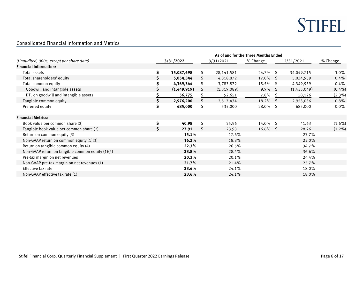

 $\overline{\phantom{a}}$ 

#### Consolidated Financial Information and Metrics

|                                                  | As of and for the Three Months Ended |             |           |              |             |            |             |           |  |  |
|--------------------------------------------------|--------------------------------------|-------------|-----------|--------------|-------------|------------|-------------|-----------|--|--|
| (Unaudited, 000s, except per share data)         | 3/31/2022                            |             | 3/31/2021 |              | % Change    | 12/31/2021 |             | % Change  |  |  |
| <b>Financial Information:</b>                    |                                      |             |           |              |             |            |             |           |  |  |
| Total assets                                     | \$                                   | 35,087,698  | \$        | 28, 141, 581 | $24.7\%$ \$ |            | 34,049,715  | $3.0\%$   |  |  |
| Total shareholders' equity                       | S.                                   | 5,054,344   | \$        | 4,318,872    | $17.0\%$ \$ |            | 5,034,959   | $0.4\%$   |  |  |
| Total common equity                              | \$                                   | 4,369,344   | \$        | 3,783,872    | 15.5% \$    |            | 4,349,959   | 0.4%      |  |  |
| Goodwill and intangible assets                   |                                      | (1,449,919) | \$        | (1,319,089)  | $9.9\%$ \$  |            | (1,455,049) | $(0.4\%)$ |  |  |
| DTL on goodwill and intangible assets            |                                      | 56,775      | \$        | 52,651       | 7.8%        | -S         | 58,126      | $(2.3\%)$ |  |  |
| Tangible common equity                           | \$                                   | 2,976,200   | \$        | 2,517,434    | 18.2%       | - \$       | 2,953,036   | 0.8%      |  |  |
| Preferred equity                                 | \$                                   | 685,000     | \$        | 535,000      | $28.0\%$ \$ |            | 685,000     | $0.0\%$   |  |  |
| <b>Financial Metrics:</b>                        |                                      |             |           |              |             |            |             |           |  |  |
| Book value per common share (2)                  | \$                                   | 40.98       | \$        | 35.96        | 14.0% \$    |            | 41.63       | $(1.6\%)$ |  |  |
| Tangible book value per common share (2)         | Ś.                                   | 27.91       | \$        | 23.93        | $16.6\%$ \$ |            | 28.26       | $(1.2\%)$ |  |  |
| Return on common equity (3)                      |                                      | 15.1%       |           | 17.6%        |             |            | 23.7%       |           |  |  |
| Non-GAAP return on common equity (1)(3)          |                                      | 16.2%       |           | 18.8%        |             |            | 25.0%       |           |  |  |
| Return on tangible common equity (4)             |                                      | 22.3%       |           | 26.5%        |             |            | 34.7%       |           |  |  |
| Non-GAAP return on tangible common equity (1)(4) |                                      | 23.8%       |           | 28.4%        |             |            | 36.6%       |           |  |  |
| Pre-tax margin on net revenues                   |                                      | 20.3%       |           | 20.1%        |             |            | 24.4%       |           |  |  |
| Non-GAAP pre-tax margin on net revenues (1)      |                                      | 21.7%       |           | 21.4%        |             |            | 25.7%       |           |  |  |
| Effective tax rate                               |                                      | 23.6%       |           | 24.1%        |             |            | 18.0%       |           |  |  |
| Non-GAAP effective tax rate (1)                  |                                      | 23.6%       |           | 24.1%        |             |            | 18.0%       |           |  |  |

<u> 1989 - Johann Barn, mars ar breithinn ar chuid ann an t-</u>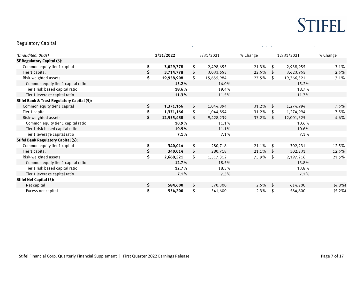### Regulatory Capital

| (Unaudited, 000s)                                      |     | 3/31/2022  | 3/31/2021        | % Change |    | 12/31/2021 | % Change  |
|--------------------------------------------------------|-----|------------|------------------|----------|----|------------|-----------|
| <b>SF Regulatory Capital (5):</b>                      |     |            |                  |          |    |            |           |
| Common equity tier 1 capital                           | \$  | 3,029,778  | \$<br>2,498,655  | 21.3%    | \$ | 2,938,955  | 3.1%      |
| Tier 1 capital                                         | \$  | 3,714,778  | \$<br>3,033,655  | 22.5%    | \$ | 3,623,955  | 2.5%      |
| Risk-weighted assets                                   | \$  | 19,958,908 | \$<br>15,655,984 | 27.5%    | \$ | 19,366,321 | 3.1%      |
| Common equity tier 1 capital ratio                     |     | 15.2%      | 16.0%            |          |    | 15.2%      |           |
| Tier 1 risk based capital ratio                        |     | 18.6%      | 19.4%            |          |    | 18.7%      |           |
| Tier 1 leverage capital ratio                          |     | 11.3%      | 11.5%            |          |    | 11.7%      |           |
| <b>Stifel Bank &amp; Trust Regulatory Capital (5):</b> |     |            |                  |          |    |            |           |
| Common equity tier 1 capital                           | \$. | 1,371,166  | \$<br>1,044,894  | 31.2%    | \$ | 1,274,994  | 7.5%      |
| Tier 1 capital                                         | \$  | 1,371,166  | \$<br>1,044,894  | 31.2%    | \$ | 1,274,994  | 7.5%      |
| Risk-weighted assets                                   | S.  | 12,555,438 | \$<br>9,428,239  | 33.2%    | -S | 12,001,325 | 4.6%      |
| Common equity tier 1 capital ratio                     |     | 10.9%      | 11.1%            |          |    | 10.6%      |           |
| Tier 1 risk based capital ratio                        |     | 10.9%      | 11.1%            |          |    | 10.6%      |           |
| Tier 1 leverage capital ratio                          |     | 7.1%       | 7.1%             |          |    | 7.1%       |           |
| <b>Stifel Bank Regulatory Capital (5):</b>             |     |            |                  |          |    |            |           |
| Common equity tier 1 capital                           | \$  | 340,014    | \$<br>280,718    | 21.1%    | \$ | 302,231    | 12.5%     |
| Tier 1 capital                                         | \$  | 340,014    | \$<br>280,718    | 21.1%    | \$ | 302,231    | 12.5%     |
| Risk-weighted assets                                   | \$  | 2,668,521  | \$<br>1,517,312  | 75.9%    | \$ | 2,197,216  | 21.5%     |
| Common equity tier 1 capital ratio                     |     | 12.7%      | 18.5%            |          |    | 13.8%      |           |
| Tier 1 risk based capital ratio                        |     | 12.7%      | 18.5%            |          |    | 13.8%      |           |
| Tier 1 leverage capital ratio                          |     | 7.1%       | 7.3%             |          |    | 7.1%       |           |
| <b>Stifel Net Capital (5):</b>                         |     |            |                  |          |    |            |           |
| Net capital                                            | \$  | 584,600    | \$<br>570,300    | 2.5%     | \$ | 614,200    | $(4.8\%)$ |
| Excess net capital                                     | \$  | 554,200    | \$<br>541,600    | 2.3%     | \$ | 584,800    | $(5.2\%)$ |

÷,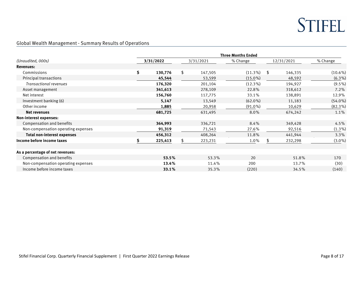

### Global Wealth Management - Summary Results of Operations

|                                     | <b>Three Months Ended</b> |    |           |            |            |         |            |  |  |  |  |
|-------------------------------------|---------------------------|----|-----------|------------|------------|---------|------------|--|--|--|--|
| (Unaudited, 000s)                   | 3/31/2022                 |    | 3/31/2021 | % Change   | 12/31/2021 |         | % Change   |  |  |  |  |
| <b>Revenues:</b>                    |                           |    |           |            |            |         |            |  |  |  |  |
| Commissions                         | \$<br>130,776             | \$ | 147,505   | $(11.3\%)$ | \$         | 146,335 | $(10.6\%)$ |  |  |  |  |
| Principal transactions              | 45,544                    |    | 53,599    | $(15.0\%)$ |            | 48,592  | $(6.3\%)$  |  |  |  |  |
| <b>Transactional revenues</b>       | 176,320                   |    | 201,104   | $(12.3\%)$ |            | 194,927 | $(9.5\%)$  |  |  |  |  |
| Asset management                    | 341,613                   |    | 278,109   | 22.8%      |            | 318,612 | 7.2%       |  |  |  |  |
| Net interest                        | 156,760                   |    | 117,775   | 33.1%      |            | 138,891 | 12.9%      |  |  |  |  |
| Investment banking (6)              | 5,147                     |    | 13,549    | $(62.0\%)$ |            | 11,183  | $(54.0\%)$ |  |  |  |  |
| Other income                        | 1,885                     |    | 20,958    | $(91.0\%)$ |            | 10,629  | $(82.3\%)$ |  |  |  |  |
| <b>Net revenues</b>                 | 681,725                   |    | 631,495   | 8.0%       |            | 674,242 | 1.1%       |  |  |  |  |
| Non-interest expenses:              |                           |    |           |            |            |         |            |  |  |  |  |
| Compensation and benefits           | 364,993                   |    | 336,721   | 8.4%       |            | 349,428 | 4.5%       |  |  |  |  |
| Non-compensation operating expenses | 91,319                    |    | 71,543    | 27.6%      |            | 92,516  | $(1.3\%)$  |  |  |  |  |
| Total non-interest expenses         | 456,312                   |    | 408,264   | 11.8%      |            | 441,944 | 3.3%       |  |  |  |  |
| Income before income taxes          | 225,413                   |    | 223,231   | 1.0%       |            | 232,298 | $(3.0\%)$  |  |  |  |  |
| As a percentage of net revenues:    |                           |    |           |            |            |         |            |  |  |  |  |
| Compensation and benefits           | 53.5%                     |    | 53.3%     | 20         |            | 51.8%   | 170        |  |  |  |  |
| Non-compensation operating expenses | 13.4%                     |    | 11.4%     | 200        |            | 13.7%   | (30)       |  |  |  |  |
| Income before income taxes          | 33.1%                     |    | 35.3%     | (220)      |            | 34.5%   | (140)      |  |  |  |  |

 $\overline{a}$ 

 $\overline{\phantom{a}}$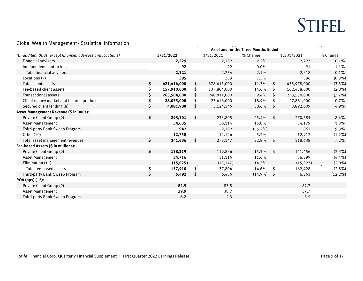### Global Wealth Management - Statistical Information

|                                                            | As of and for the Three Months Ended |                |             |            |                |             |            |  |  |  |
|------------------------------------------------------------|--------------------------------------|----------------|-------------|------------|----------------|-------------|------------|--|--|--|
| (Unaudited, 000s, except financial advisors and locations) | 3/31/2022                            |                | 3/31/2021   | % Change   |                | 12/31/2021  | % Change   |  |  |  |
| Financial advisors                                         | 2,229                                |                | 2,182       | 2.2%       |                | 2,227       | 0.1%       |  |  |  |
| Independent contractors                                    | 92                                   |                | 92          | $0.0\%$    |                | 91          | 1.1%       |  |  |  |
| <b>Total financial advisors</b>                            | 2,321                                |                | 2,274       | 2.1%       |                | 2,318       | 0.1%       |  |  |  |
| Locations (7)                                              | 395                                  |                | 389         | 1.5%       |                | 396         | $(0.3\%)$  |  |  |  |
| Total client assets                                        | \$<br>421,414,000                    | S.             | 378,615,000 | 11.3%      | \$             | 435,978,000 | $(3.3\%)$  |  |  |  |
| Fee-based client assets                                    | \$<br>157,910,000                    | \$             | 137,804,000 | 14.6%      | \$             | 162,428,000 | $(2.8\%)$  |  |  |  |
| <b>Transactional assets</b>                                | \$<br>263,504,000                    |                | 240,811,000 | 9.4%       | \$             | 273,550,000 | $(3.7\%)$  |  |  |  |
| Client money market and insured product                    | \$<br>28,075,000                     |                | 23,616,000  | 18.9%      | \$             | 27,881,000  | 0.7%       |  |  |  |
| Secured client lending (8)                                 | \$<br>4,081,980                      | \$.            | 3,124,545   | 30.6%      | \$             | 3,892,609   | 4.9%       |  |  |  |
| Asset Management Revenue (\$ in 000s):                     |                                      |                |             |            |                |             |            |  |  |  |
| Private Client Group (9)                                   | \$<br>293,301                        | $\mathfrak{L}$ | 233,805     | 25.4%      | $\mathfrak{L}$ | 270,685     | 8.4%       |  |  |  |
| Asset Management                                           | 34,635                               |                | 30,114      | 15.0%      |                | 34,179      | 1.3%       |  |  |  |
| Third-party Bank Sweep Program                             | 942                                  |                | 2,102       | $(55.2\%)$ |                | 862         | 9.3%       |  |  |  |
| Other (10)                                                 | 12,758                               |                | 12,126      | 5.2%       |                | 12,912      | $(1.2\%)$  |  |  |  |
| Total asset management revenues                            | \$<br>341,636                        | \$             | 278,147     | 22.8%      | \$             | 318,638     | 7.2%       |  |  |  |
| Fee-based Assets (\$ in millions):                         |                                      |                |             |            |                |             |            |  |  |  |
| Private Client Group (9)                                   | \$<br>138,219                        |                | 119,836     | 15.3%      | \$             | 141,456     | $(2.3\%)$  |  |  |  |
| <b>Asset Management</b>                                    | 34,716                               |                | 31,115      | 11.6%      |                | 36,299      | $(4.4\%)$  |  |  |  |
| Elimination (11)                                           | (15, 025)                            |                | (13, 147)   | 14.3%      |                | (15, 327)   | $(2.0\%)$  |  |  |  |
| Total fee-based assets                                     | \$<br>157,910                        | \$             | 137,804     | 14.6%      | \$             | 162,428     | $(2.8\%)$  |  |  |  |
| Third-party Bank Sweep Program                             | \$<br>5,492                          | \$             | 6,455       | $(14.9\%)$ | \$             | 6,253       | $(12.2\%)$ |  |  |  |
| ROA (bps) (12):                                            |                                      |                |             |            |                |             |            |  |  |  |
| Private Client Group (9)                                   | 82.9                                 |                | 83.5        |            |                | 82.7        |            |  |  |  |
| <b>Asset Management</b>                                    | 39.9                                 |                | 38.7        |            |                | 37.7        |            |  |  |  |
| Third-party Bank Sweep Program                             | 6.2                                  |                | 12.3        |            |                | 5.5         |            |  |  |  |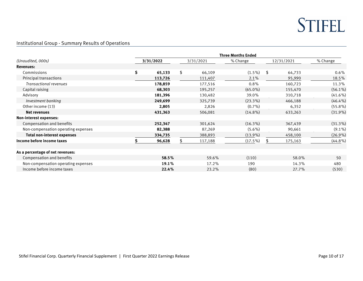

 $\overline{\phantom{a}}$ 

Institutional Group - Summary Results of Operations

|                                     | <b>Three Months Ended</b> |           |    |           |            |            |         |            |  |  |  |
|-------------------------------------|---------------------------|-----------|----|-----------|------------|------------|---------|------------|--|--|--|
| (Unaudited, 000s)                   |                           | 3/31/2022 |    | 3/31/2021 | % Change   | 12/31/2021 |         | % Change   |  |  |  |
| <b>Revenues:</b>                    |                           |           |    |           |            |            |         |            |  |  |  |
| Commissions                         | \$                        | 65,133    | \$ | 66,109    | $(1.5\%)$  | \$         | 64,733  | $0.6\%$    |  |  |  |
| Principal transactions              |                           | 113,726   |    | 111,407   | 2.1%       |            | 95,990  | 18.5%      |  |  |  |
| <b>Transactional revenues</b>       |                           | 178,859   |    | 177,516   | 0.8%       |            | 160,723 | 11.3%      |  |  |  |
| Capital raising                     |                           | 68,303    |    | 195,257   | $(65.0\%)$ |            | 155,470 | $(56.1\%)$ |  |  |  |
| Advisory                            |                           | 181,396   |    | 130,482   | 39.0%      |            | 310,718 | $(41.6\%)$ |  |  |  |
| Investment banking                  |                           | 249,699   |    | 325,739   | $(23.3\%)$ |            | 466,188 | $(46.4\%)$ |  |  |  |
| Other income (13)                   |                           | 2,805     |    | 2,826     | $(0.7\%)$  |            | 6,352   | $(55.8\%)$ |  |  |  |
| Net revenues                        |                           | 431,363   |    | 506,081   | $(14.8\%)$ |            | 633,263 | $(31.9\%)$ |  |  |  |
| Non-interest expenses:              |                           |           |    |           |            |            |         |            |  |  |  |
| Compensation and benefits           |                           | 252,347   |    | 301,624   | $(16.3\%)$ |            | 367,439 | $(31.3\%)$ |  |  |  |
| Non-compensation operating expenses |                           | 82,388    |    | 87,269    | $(5.6\%)$  |            | 90,661  | $(9.1\%)$  |  |  |  |
| <b>Total non-interest expenses</b>  |                           | 334,735   |    | 388,893   | $(13.9\%)$ |            | 458,100 | $(26.9\%)$ |  |  |  |
| Income before income taxes          |                           | 96,628    |    | 117,188   | $(17.5\%)$ |            | 175,163 | $(44.8\%)$ |  |  |  |
| As a percentage of net revenues:    |                           |           |    |           |            |            |         |            |  |  |  |
| Compensation and benefits           |                           | 58.5%     |    | 59.6%     | (110)      |            | 58.0%   | 50         |  |  |  |
| Non-compensation operating expenses |                           | 19.1%     |    | 17.2%     | 190        |            | 14.3%   | 480        |  |  |  |
| Income before income taxes          |                           | 22.4%     |    | 23.2%     | (80)       |            | 27.7%   | (530)      |  |  |  |

<u> Andrew American American American A</u>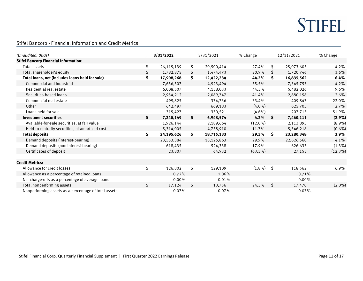$\sim$   $\sim$ 

Stifel Bancorp - Financial Information and Credit Metrics

| (Unaudited, 000s)                                    |            | 3/31/2022  |    | 3/31/2021  | % Change     | 12/31/2021 |            | % Change   |
|------------------------------------------------------|------------|------------|----|------------|--------------|------------|------------|------------|
| <b>Stifel Bancorp Financial Information:</b>         |            |            |    |            |              |            |            |            |
| Total assets                                         | \$         | 26,115,139 | \$ | 20,500,414 | 27.4%        | \$         | 25,073,605 | 4.2%       |
| Total shareholder's equity                           | \$         | 1,782,875  | \$ | 1,474,473  | 20.9%        | \$         | 1,720,746  | 3.6%       |
| Total loans, net (includes loans held for sale)      | \$         | 17,908,268 | \$ | 12,422,234 | 44.2%        | -S         | 16,835,562 | 6.4%       |
| Commercial and industrial                            |            | 7,656,507  |    | 4,923,494  | 55.5%        |            | 7,345,753  | 4.2%       |
| Residential real estate                              |            | 6,008,507  |    | 4,158,033  | 44.5%        |            | 5,482,026  | 9.6%       |
| Securities-based loans                               |            | 2,954,212  |    | 2,089,747  | 41.4%        |            | 2,880,158  | 2.6%       |
| Commercial real estate                               |            | 499,825    |    | 374,736    | 33.4%        |            | 409,847    | 22.0%      |
| Other                                                |            | 642,497    |    | 669,183    | $(4.0\%)$    |            | 625,703    | 2.7%       |
| Loans held for sale                                  |            | 315,427    |    | 330,521    | $(4.6\%)$    |            | 207,715    | 51.9%      |
| Investment securities                                | S          | 7,240,149  | \$ | 6,948,574  | 4.2%         | - \$       | 7,460,111  | $(2.9\%)$  |
| Available-for-sale securities, at fair value         |            | 1,926,144  |    | 2,189,664  | $(12.0\%)$   |            | 2,113,893  | $(8.9\%)$  |
| Held-to-maturity securities, at amortized cost       |            | 5,314,005  |    | 4,758,910  | 11.7%        |            | 5,346,218  | $(0.6\%)$  |
| <b>Total deposits</b>                                | \$         | 24,195,626 | S. | 18,715,133 | 29.3%        | - S        | 23,280,348 | $3.9\%$    |
| Demand deposits (interest-bearing)                   |            | 23,553,384 |    | 18,125,863 | 29.9%        |            | 22,626,560 | 4.1%       |
| Demand deposits (non interest-bearing)               |            | 618,435    |    | 524,338    | 17.9%        |            | 626,633    | $(1.3\%)$  |
| Certificates of deposit                              |            | 23,807     |    | 64,932     | $(63.3\%)$   |            | 27,155     | $(12.3\%)$ |
| <b>Credit Metrics:</b>                               |            |            |    |            |              |            |            |            |
| Allowance for credit losses                          | \$         | 126,802    | \$ | 129,109    | $(1.8\%)$ \$ |            | 118,562    | 6.9%       |
| Allowance as a percentage of retained loans          |            | 0.72%      |    | 1.06%      |              |            | 0.71%      |            |
| Net charge-offs as a percentage of average loans     |            | $0.00\%$   |    | 0.01%      |              |            | $0.00\%$   |            |
| Total nonperforming assets                           | $\sqrt{2}$ | 17,124     | \$ | 13,756     | 24.5%        | $^{\circ}$ | 17,470     | $(2.0\%)$  |
| Nonperforming assets as a percentage of total assets |            | 0.07%      |    | 0.07%      |              |            | 0.07%      |            |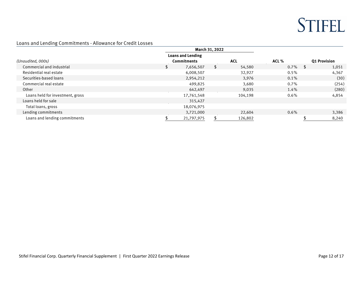$\overline{\phantom{a}}$ 

### Loans and Lending Commitments - Allowance for Credit Losses

|                                  |                          | March 31, 2022 |            |         |                     |       |
|----------------------------------|--------------------------|----------------|------------|---------|---------------------|-------|
|                                  | <b>Loans and Lending</b> |                |            |         |                     |       |
| (Unaudited, 000s)                | <b>Commitments</b>       |                | <b>ACL</b> | ACL %   | <b>01 Provision</b> |       |
| Commercial and industrial        | 7,656,507                |                | 54,580     | 0.7%    |                     | 1,051 |
| Residential real estate          | 6,008,507                |                | 32,927     | 0.5%    |                     | 4,367 |
| Securities-based loans           | 2,954,212                |                | 3,976      | 0.1%    |                     | (30)  |
| Commercial real estate           | 499,825                  |                | 3,680      | 0.7%    |                     | (254) |
| Other                            | 642,497                  |                | 9,035      | 1.4%    |                     | (280) |
| Loans held for investment, gross | 17,761,548               |                | 104,198    | 0.6%    |                     | 4,854 |
| Loans held for sale              | 315,427                  |                |            |         |                     |       |
| Total loans, gross               | 18,076,975               |                |            |         |                     |       |
| Lending commitments              | 3,721,000                |                | 22,604     | $0.6\%$ |                     | 3,386 |
| Loans and lending commitments    | 21,797,975               |                | 126,802    |         |                     | 8,240 |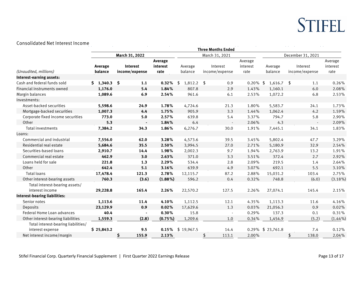#### Consolidated Net Interest Income

| Consolidated Net Interest Income     |             |                 |            |                    |                           |             |                   |                   |            |
|--------------------------------------|-------------|-----------------|------------|--------------------|---------------------------|-------------|-------------------|-------------------|------------|
|                                      |             |                 |            |                    | <b>Three Months Ended</b> |             |                   |                   |            |
|                                      |             | March 31, 2022  |            |                    | March 31, 2021            |             |                   | December 31, 2021 |            |
|                                      |             |                 | Average    |                    |                           | Average     |                   |                   | Average    |
|                                      | Average     | <b>Interest</b> | interest   | Average            | Interest                  | interest    | Average           | Interest          | interest   |
| (Unaudited, millions)                | balance     | income/expense  | rate       | balance            | income/expense            | rate        | balance           | income/expense    | rate       |
| Interest-earning assets:             | \$1,340.3\$ |                 |            |                    |                           |             |                   |                   |            |
| Cash and federal funds sold          |             | 1.1             | 0.32%      | $1,812.2$ \$<br>\$ | 0.9                       | $0.20\%$ \$ | $1,616.7$ \$      | 1.1               | 0.26%      |
| Financial instruments owned          | 1,176.0     | 5.4             | 1.84%      | 807.8              | 2.9                       | 1.43%       | 1,160.1           | 6.0               | 2.08%      |
| Margin balances                      | 1,089.6     | 6.9             | 2.54%      | 961.6              | 6.1                       | 2.53%       | 1,072.2           | 6.8               | 2.53%      |
| Investments:                         |             |                 |            |                    |                           |             |                   |                   |            |
| Asset-backed securities              | 5,598.6     | 24.9            | 1.78%      | 4,724.6            | 21.3                      | 1.80%       | 5,583.7           | 24.1              | 1.73%      |
| Mortgage-backed securities           | 1,007.3     | 4.4             | 1.75%      | 905.9              | 3.3                       | 1.44%       | 1,062.4           | 4.2               | 1.59%      |
| Corporate fixed income securities    | 773.0       | 5.0             | 2.57%      | 639.8              | 5.4                       | 3.37%       | 794.7             | 5.8               | 2.90%      |
| Other                                | 5.3         |                 | 1.84%      | 6.4                | $\sim$                    | 2.06%       | 4.3               |                   | 2.09%      |
| Total investments                    | 7,384.2     | 34.3            | 1.86%      | 6,276.7            | 30.0                      | 1.91%       | 7,445.1           | 34.1              | 1.83%      |
| Loans:                               |             |                 |            |                    |                           |             |                   |                   |            |
| Commercial and industrial            | 7,556.0     | 62.0            | 3.28%      | 4,573.6            | 39.5                      | 3.45%       | 5,802.4           | 47.7              | 3.29%      |
| Residential real estate              | 5,684.6     | 35.5            | 2.50%      | 3,994.5            | 27.0                      | 2.71%       | 5,180.9           | 32.9              | 2.54%      |
| Securities-based loans               | 2,910.7     | 14.4            | 1.98%      | 2,002.3            | 9.7                       | 1.94%       | 2,763.9           | 13.2              | 1.91%      |
| Commercial real estate               | 462.9       | 3.0             | 2.63%      | 371.0              | 3.3                       | 3.51%       | 372.4             | 2.7               | 2.92%      |
| Loans held for sale                  | 221.8       | 1.3             | 2.29%      | 534.4              | 2.8                       | 2.09%       | 219.5             | 1.4               | 2.64%      |
| Other                                | 642.4       | 5.1             | 3.16%      | 639.9              | 4.9                       | 3.07%       | 692.1             | 5.5               | 3.10%      |
| Total loans                          | 17,478.4    | 121.3           | 2.78%      | 12,115.7           | 87.2                      | 2.88%       | 15,031.2          | 103.4             | 2.75%      |
| Other interest-bearing assets        | 760.3       | (3.6)           | $(1.88\%)$ | 596.2              | 0.4                       | 0.32%       | 748.8             | (6.0)             | $(3.18\%)$ |
| Total interest-bearing assets/       |             |                 |            |                    |                           |             |                   |                   |            |
| interest income                      | 29,228.8    | 165.4           | 2.26%      | 22,570.2           | 127.5                     | 2.26%       | 27,074.1          | 145.4             | 2.15%      |
| <b>Interest-bearing liabilities:</b> |             |                 |            |                    |                           |             |                   |                   |            |
| Senior notes                         | 1,113.6     | 11.4            | 4.10%      | 1,112.5            | 12.1                      | 4.35%       | 1,113.3           | 11.6              | 4.16%      |
| Deposits                             | 23,129.9    | 0.9             | 0.02%      | 17,629.6           | 1.3                       | 0.03%       | 21,056.3          | 0.9               | 0.02%      |
| Federal Home Loan advances           | 40.4        | $\blacksquare$  | 0.30%      | 15.8               | $\overline{\phantom{a}}$  | 0.29%       | 137.3             | 0.1               | 0.31%      |
| Other interest-bearing liabilities   | 1,559.3     | (2.8)           | $(0.75\%)$ | 1,209.6            | 1.0                       | 0.34%       | 1,454.9           | (5.2)             | $(1.44\%)$ |
| Total interest-bearing liabilities/  |             |                 |            |                    |                           |             |                   |                   |            |
| interest expense                     | \$25,843.2  | 9.5             | 0.15%      | \$19,967.5         | 14.4                      |             | 0.29% \$ 23,761.8 | 7.4               | 0.12%      |
| Net interest income/margin           |             | \$<br>155.9     | 2.13%      |                    | \$<br>113.1               | 2.00%       |                   | \$<br>138.0       | 2.04%      |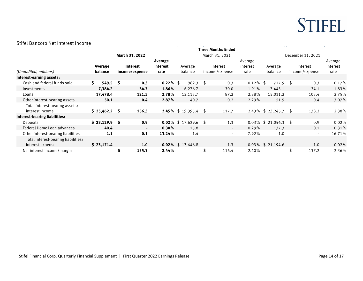#### Stifel Bancorp Net Interest Income

| Stilet Ballcorp Net interest income                     |    |                    |    |                            |                             |                             |            |  |                            |                             |                   |                         |  |                            |                             |
|---------------------------------------------------------|----|--------------------|----|----------------------------|-----------------------------|-----------------------------|------------|--|----------------------------|-----------------------------|-------------------|-------------------------|--|----------------------------|-----------------------------|
|                                                         |    |                    |    |                            |                             |                             |            |  | <b>Three Months Ended</b>  |                             |                   |                         |  |                            |                             |
|                                                         |    | March 31, 2022     |    |                            |                             | March 31, 2021              |            |  |                            |                             | December 31, 2021 |                         |  |                            |                             |
| (Unaudited, millions)<br>Interest-earning assets:       |    | Average<br>balance |    | Interest<br>income/expense | Average<br>interest<br>rate | Average<br>balance          |            |  | Interest<br>income/expense | Average<br>interest<br>rate |                   | Average<br>balance      |  | Interest<br>income/expense | Average<br>interest<br>rate |
| Cash and federal funds sold                             | S. | 549.5              | S  | 0.3                        | $0.22\%$ \$                 |                             | $962.3$ \$ |  | 0.3                        | 0.12%                       | -\$               | $717.9$ \$              |  | 0.3                        | 0.17%                       |
| Investments                                             |    | 7,384.2            |    | 34.3                       | 1.86%                       | 6,276.7                     |            |  | 30.0                       | 1.91%                       |                   | 7,445.1                 |  | 34.1                       | 1.83%                       |
| Loans                                                   |    | 17,478.4           |    | 121.3                      | 2.78%                       | 12,115.7                    |            |  | 87.2                       | 2.88%                       |                   | 15,031.2                |  | 103.4                      | 2.75%                       |
| Other interest-bearing assets                           |    | 50.1               |    | 0.4                        | 2.87%                       |                             | 40.7       |  | 0.2                        | 2.23%                       |                   | 51.5                    |  | 0.4                        | 3.07%                       |
| Total interest-bearing assets/                          |    |                    |    |                            |                             |                             |            |  |                            |                             |                   |                         |  |                            |                             |
| interest income                                         |    | \$25,462.2         | -S | 156.3                      |                             | <b>2.45%</b> \$ 19,395.4 \$ |            |  | 117.7                      |                             |                   | 2.43% \$ 23,245.7 \$    |  | 138.2                      | 2.38%                       |
| Interest-bearing liabilities:                           |    |                    |    |                            |                             |                             |            |  |                            |                             |                   |                         |  |                            |                             |
| Deposits                                                |    | \$23,129.9         | S  | 0.9                        |                             | 0.02% $$17,629.6$ \$        |            |  | 1.3                        |                             |                   | $0.03\%$ \$ 21,056.3 \$ |  | 0.9                        | 0.02%                       |
| Federal Home Loan advances                              |    | 40.4               |    | $\blacksquare$             | 0.30%                       |                             | 15.8       |  | $\overline{\phantom{a}}$   | 0.29%                       |                   | 137.3                   |  | 0.1                        | 0.31%                       |
| Other interest-bearing liabilities                      |    | 1.1                |    | 0.1                        | 13.24%                      |                             | 1.4        |  |                            | 7.92%                       |                   | 1.0                     |  | $\blacksquare$             | 16.71%                      |
| Total interest-bearing liabilities/<br>interest expense |    | \$23,171.4         |    | 1.0                        |                             | 0.02% $$17,646.8$           |            |  | 1.3                        |                             |                   | 0.03% \$ 21,194.6       |  | 1.0                        | 0.02%                       |
| Net interest income/margin                              |    |                    |    | 155.3                      | 2.44%                       |                             |            |  | 116.4                      | 2.40%                       |                   |                         |  | 137.2                      | 2.36%                       |

 $\overline{\phantom{a}}$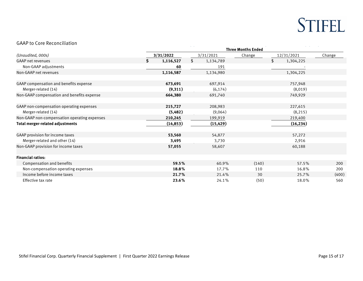#### GAAP to Core Reconciliation

| GAAP to Core Reconciliation                  |                           |           |  |           |        |                 |        |  |  |
|----------------------------------------------|---------------------------|-----------|--|-----------|--------|-----------------|--------|--|--|
|                                              | <b>Three Months Ended</b> |           |  |           |        |                 |        |  |  |
| (Unaudited, 000s)                            | 3/31/2022                 |           |  | 3/31/2021 | Change | 12/31/2021      | Change |  |  |
| <b>GAAP net revenues</b>                     | S.                        | 1,116,527 |  | 1,134,789 |        | \$<br>1,304,225 |        |  |  |
| Non-GAAP adjustments                         |                           | 60        |  | 191       |        |                 |        |  |  |
| Non-GAAP net revenues                        |                           | 1,116,587 |  | 1,134,980 |        | 1,304,225       |        |  |  |
| GAAP compensation and benefits expense       |                           | 673,691   |  | 697,914   |        | 757,948         |        |  |  |
| Merger-related (14)                          |                           | (9,311)   |  | (6, 174)  |        | (8,019)         |        |  |  |
| Non-GAAP compensation and benefits expense   |                           | 664,380   |  | 691,740   |        | 749,929         |        |  |  |
| GAAP non-compensation operating expenses     |                           | 215,727   |  | 208,983   |        | 227,615         |        |  |  |
| Merger-related (14)                          |                           | (5,482)   |  | (9,064)   |        | (8, 215)        |        |  |  |
| Non-GAAP non-compensation operating expenses |                           | 210,245   |  | 199,919   |        | 219,400         |        |  |  |
| Total merger-related adjustments             |                           | (14, 853) |  | (15, 429) |        | (16, 234)       |        |  |  |
| GAAP provision for income taxes              |                           | 53,560    |  | 54,877    |        | 57,272          |        |  |  |
| Merger-related and other (14)                |                           | 3,495     |  | 3,730     |        | 2,916           |        |  |  |
| Non-GAAP provision for income taxes          |                           | 57,055    |  | 58,607    |        | 60,188          |        |  |  |
| <b>Financial ratios:</b>                     |                           |           |  |           |        |                 |        |  |  |
| Compensation and benefits                    |                           | 59.5%     |  | 60.9%     | (140)  | 57.5%           | 200    |  |  |
| Non-compensation operating expenses          |                           | 18.8%     |  | 17.7%     | 110    | 16.8%           | 200    |  |  |
| Income before income taxes                   |                           | 21.7%     |  | 21.4%     | 30     | 25.7%           | (400)  |  |  |
| Effective tax rate                           |                           | 23.6%     |  | 24.1%     | (50)   | 18.0%           | 560    |  |  |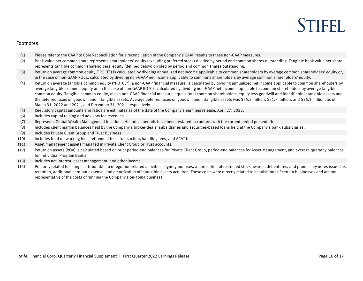# **STIFFI**

#### Footnotes

- (1) Please refer to the GAAP to Core Reconciliation for a reconciliation of the Company's GAAP results to these non-GAAP measures.
- (2) Book value per common share represents shareholders' equity (excluding preferred stock) divided by period end common shares outstanding. Tangible book value per share represents tangible common shareholders' equity (defined below) divided by period end common shares outstanding.
- (3) Return on average common equity ("ROCE") is calculated by dividing annualized net income applicable to common shareholders by average common shareholders' equity or, in the case of non-GAAP ROCE, calculated by dividing non-GAAP net income applicable to commons shareholders by average common shareholders' equity.
- (4) Return on average tangible common equity ("ROTCE"), a non-GAAP financial measure, is calculated by dividing annualized net income applicable to common shareholders by average tangible common equity or, in the case of non-GAAP ROTCE, calculated by dividing non-GAAP net income applicable to common shareholders by average tangible common equity. Tangible common equity, also a non-GAAP financial measure, equals total common shareholders' equity less goodwill and identifiable intangible assets and the deferred taxes on goodwill and intangible assets. Average deferred taxes on goodwill and intangible assets was \$55.5 million, \$51.7 million, and \$56.3 million, as of March 31, 2022 and 2021, and December 31, 2021, respectively.
- (5) Regulatory capital amounts and ratios are estimates as of the date of the Company's earnings release, April 27, 2022.
- (6) Includes capital raising and advisory fee revenues.
- (7) Represents Global Wealth Management locations. Historical periods have been restated to conform with the current period presentation.
- (8) Includes client margin balances held by the Company's broker-dealer subsidiaries and securities-based loans held at the Company's bank subsidiaries.
- (9) Includes Private Client Group and Trust Business.
- (10) Includes fund networking fees, retirement fees, transaction/handling fees, and ACAT fees.
- (11) Asset management assets managed in Private Client Group or Trust accounts.
- (12) Return on assets (ROA) is calculated based on prior period-end balances for Private Client Group, period-end balances for Asset Management, and average quarterly balances for Individual Program Banks.
- (13) Includes net interest, asset management, and other income.
- (14) Primarily related to charges attributable to integration-related activities, signing bonuses, amortization of restricted stock awards, debentures, and promissory notes issued as retention, additional earn-out expense, and amortization of intangible assets acquired. These costs were directly related to acquisitions of certain businesses and are not representative of the costs of running the Company's on-going business.